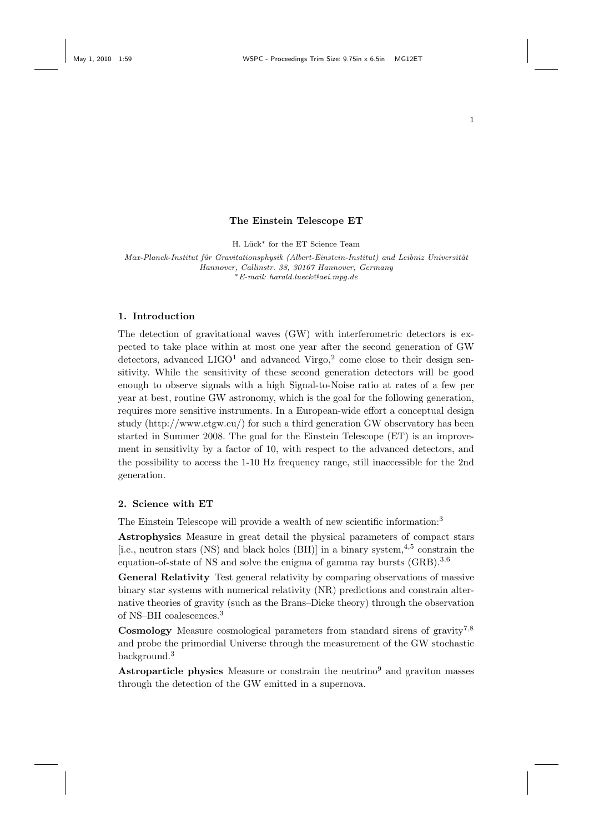## The Einstein Telescope ET

H. Lück<sup>\*</sup> for the ET Science Team

Max-Planck-Institut für Gravitationsphysik (Albert-Einstein-Institut) and Leibniz Universität Hannover, Callinstr. 38, 30167 Hannover, Germany <sup>∗</sup>E-mail: harald.lueck@aei.mpg.de

### 1. Introduction

The detection of gravitational waves (GW) with interferometric detectors is expected to take place within at most one year after the second generation of GW detectors, advanced  $LIGO<sup>1</sup>$  and advanced Virgo,<sup>2</sup> come close to their design sensitivity. While the sensitivity of these second generation detectors will be good enough to observe signals with a high Signal-to-Noise ratio at rates of a few per year at best, routine GW astronomy, which is the goal for the following generation, requires more sensitive instruments. In a European-wide effort a conceptual design study (http://www.etgw.eu/) for such a third generation GW observatory has been started in Summer 2008. The goal for the Einstein Telescope (ET) is an improvement in sensitivity by a factor of 10, with respect to the advanced detectors, and the possibility to access the 1-10 Hz frequency range, still inaccessible for the 2nd generation.

### 2. Science with ET

The Einstein Telescope will provide a wealth of new scientific information:<sup>3</sup>

Astrophysics Measure in great detail the physical parameters of compact stars [i.e., neutron stars (NS) and black holes (BH)] in a binary system,4,5 constrain the equation-of-state of NS and solve the enigma of gamma ray bursts  $(GRB)$ <sup>3,6</sup>

General Relativity Test general relativity by comparing observations of massive binary star systems with numerical relativity (NR) predictions and constrain alternative theories of gravity (such as the Brans–Dicke theory) through the observation of NS–BH coalescences.<sup>3</sup>

Cosmology Measure cosmological parameters from standard sirens of gravity<sup>7,8</sup> and probe the primordial Universe through the measurement of the GW stochastic background.<sup>3</sup>

**Astroparticle physics** Measure or constrain the neutrino<sup>9</sup> and graviton masses through the detection of the GW emitted in a supernova.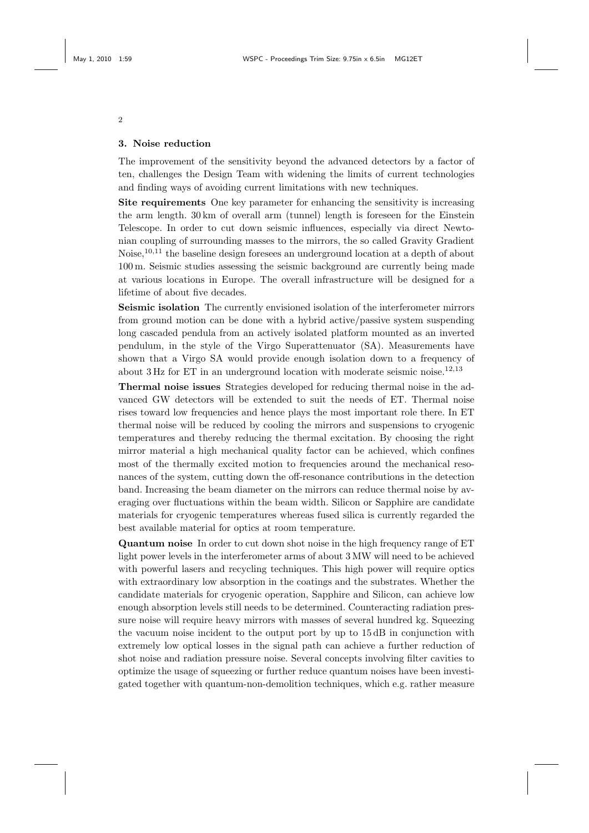# 3. Noise reduction

The improvement of the sensitivity beyond the advanced detectors by a factor of ten, challenges the Design Team with widening the limits of current technologies and finding ways of avoiding current limitations with new techniques.

Site requirements One key parameter for enhancing the sensitivity is increasing the arm length. 30 km of overall arm (tunnel) length is foreseen for the Einstein Telescope. In order to cut down seismic influences, especially via direct Newtonian coupling of surrounding masses to the mirrors, the so called Gravity Gradient Noise,10,11 the baseline design foresees an underground location at a depth of about 100 m. Seismic studies assessing the seismic background are currently being made at various locations in Europe. The overall infrastructure will be designed for a lifetime of about five decades.

Seismic isolation The currently envisioned isolation of the interferometer mirrors from ground motion can be done with a hybrid active/passive system suspending long cascaded pendula from an actively isolated platform mounted as an inverted pendulum, in the style of the Virgo Superattenuator (SA). Measurements have shown that a Virgo SA would provide enough isolation down to a frequency of about  $3 \text{ Hz}$  for ET in an underground location with moderate seismic noise.<sup>12,13</sup>

Thermal noise issues Strategies developed for reducing thermal noise in the advanced GW detectors will be extended to suit the needs of ET. Thermal noise rises toward low frequencies and hence plays the most important role there. In ET thermal noise will be reduced by cooling the mirrors and suspensions to cryogenic temperatures and thereby reducing the thermal excitation. By choosing the right mirror material a high mechanical quality factor can be achieved, which confines most of the thermally excited motion to frequencies around the mechanical resonances of the system, cutting down the off-resonance contributions in the detection band. Increasing the beam diameter on the mirrors can reduce thermal noise by averaging over fluctuations within the beam width. Silicon or Sapphire are candidate materials for cryogenic temperatures whereas fused silica is currently regarded the best available material for optics at room temperature.

Quantum noise In order to cut down shot noise in the high frequency range of ET light power levels in the interferometer arms of about 3 MW will need to be achieved with powerful lasers and recycling techniques. This high power will require optics with extraordinary low absorption in the coatings and the substrates. Whether the candidate materials for cryogenic operation, Sapphire and Silicon, can achieve low enough absorption levels still needs to be determined. Counteracting radiation pressure noise will require heavy mirrors with masses of several hundred kg. Squeezing the vacuum noise incident to the output port by up to 15 dB in conjunction with extremely low optical losses in the signal path can achieve a further reduction of shot noise and radiation pressure noise. Several concepts involving filter cavities to optimize the usage of squeezing or further reduce quantum noises have been investigated together with quantum-non-demolition techniques, which e.g. rather measure

2